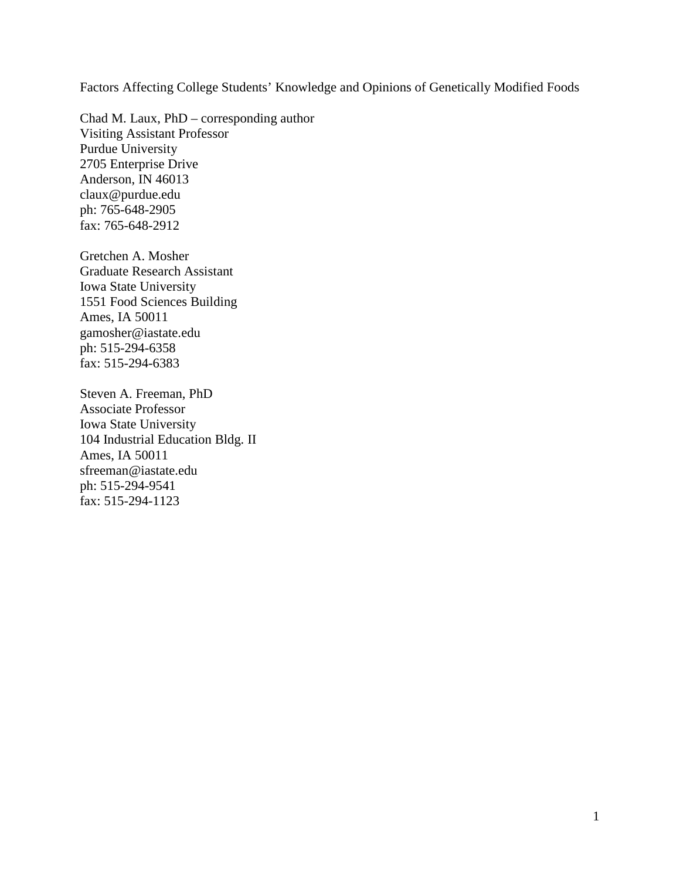Factors Affecting College Students' Knowledge and Opinions of Genetically Modified Foods

Chad M. Laux, PhD – corresponding author Visiting Assistant Professor Purdue University 2705 Enterprise Drive Anderson, IN 46013 claux@purdue.edu ph: 765-648-2905 fax: 765-648-2912

Gretchen A. Mosher Graduate Research Assistant Iowa State University 1551 Food Sciences Building Ames, IA 50011 gamosher@iastate.edu ph: 515-294-6358 fax: 515-294-6383

Steven A. Freeman, PhD Associate Professor Iowa State University 104 Industrial Education Bldg. II Ames, IA 50011 sfreeman@iastate.edu ph: 515-294-9541 fax: 515-294-1123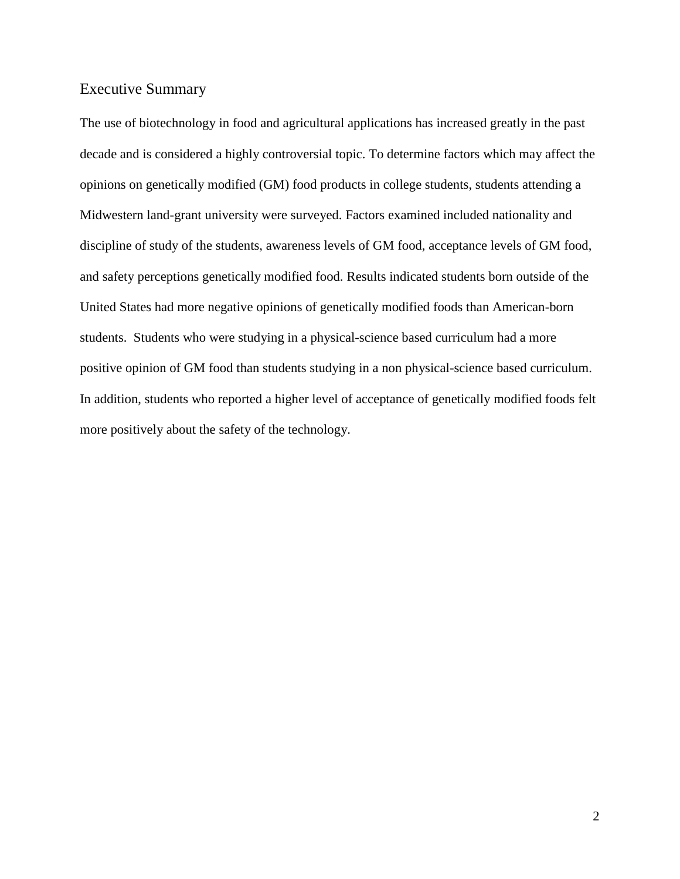# Executive Summary

The use of biotechnology in food and agricultural applications has increased greatly in the past decade and is considered a highly controversial topic. To determine factors which may affect the opinions on genetically modified (GM) food products in college students, students attending a Midwestern land-grant university were surveyed. Factors examined included nationality and discipline of study of the students, awareness levels of GM food, acceptance levels of GM food, and safety perceptions genetically modified food. Results indicated students born outside of the United States had more negative opinions of genetically modified foods than American-born students. Students who were studying in a physical-science based curriculum had a more positive opinion of GM food than students studying in a non physical-science based curriculum. In addition, students who reported a higher level of acceptance of genetically modified foods felt more positively about the safety of the technology.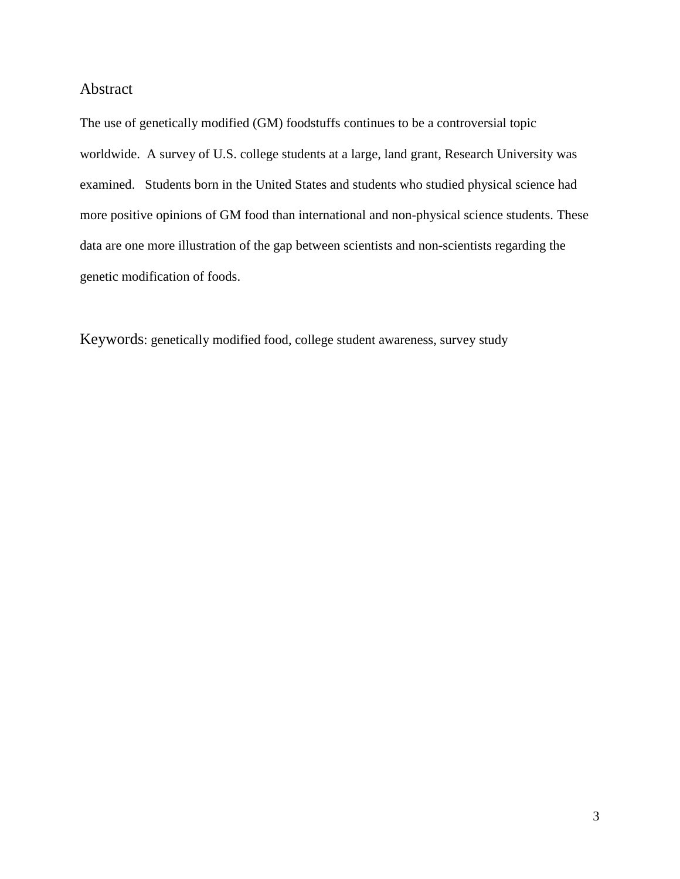## Abstract

The use of genetically modified (GM) foodstuffs continues to be a controversial topic worldwide. A survey of U.S. college students at a large, land grant, Research University was examined. Students born in the United States and students who studied physical science had more positive opinions of GM food than international and non-physical science students. These data are one more illustration of the gap between scientists and non-scientists regarding the genetic modification of foods.

Keywords: genetically modified food, college student awareness, survey study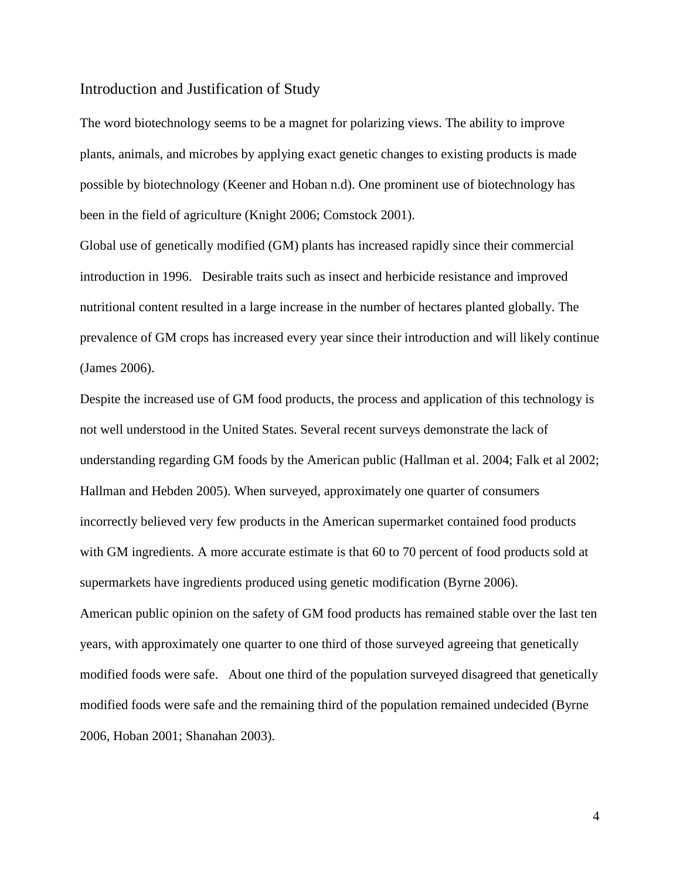#### Introduction and Justification of Study

The word biotechnology seems to be a magnet for polarizing views. The ability to improve plants, animals, and microbes by applying exact genetic changes to existing products is made possible by biotechnology (Keener and Hoban n.d). One prominent use of biotechnology has been in the field of agriculture (Knight 2006; Comstock 2001).

Global use of genetically modified (GM) plants has increased rapidly since their commercial introduction in 1996. Desirable traits such as insect and herbicide resistance and improved nutritional content resulted in a large increase in the number of hectares planted globally. The prevalence of GM crops has increased every year since their introduction and will likely continue (James 2006).

Despite the increased use of GM food products, the process and application of this technology is not well understood in the United States. Several recent surveys demonstrate the lack of understanding regarding GM foods by the American public (Hallman et al. 2004; Falk et al 2002; Hallman and Hebden 2005). When surveyed, approximately one quarter of consumers incorrectly believed very few products in the American supermarket contained food products with GM ingredients. A more accurate estimate is that 60 to 70 percent of food products sold at supermarkets have ingredients produced using genetic modification (Byrne 2006). American public opinion on the safety of GM food products has remained stable over the last ten years, with approximately one quarter to one third of those surveyed agreeing that genetically modified foods were safe. About one third of the population surveyed disagreed that genetically modified foods were safe and the remaining third of the population remained undecided (Byrne 2006, Hoban 2001; Shanahan 2003).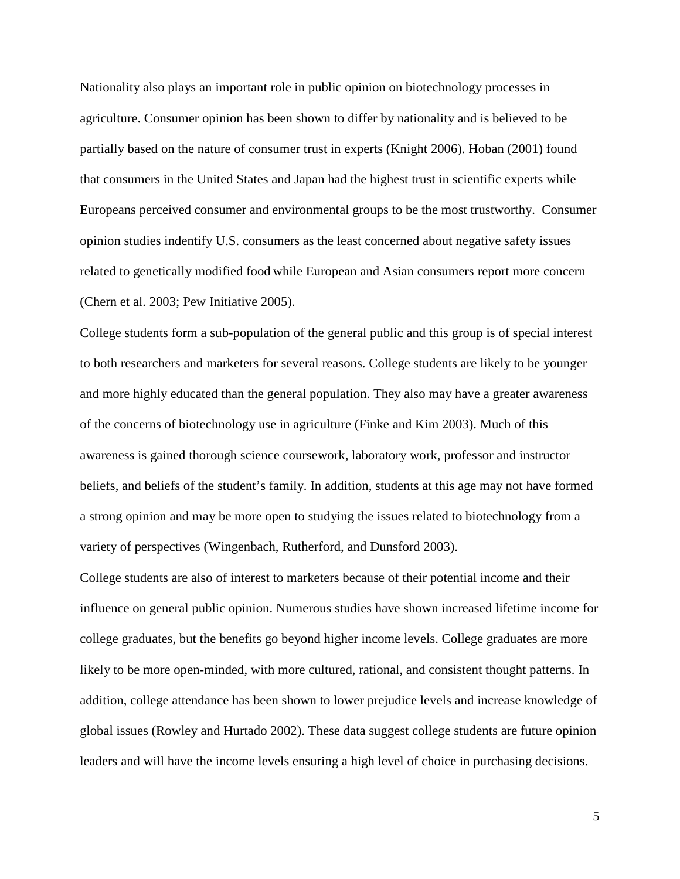Nationality also plays an important role in public opinion on biotechnology processes in agriculture. Consumer opinion has been shown to differ by nationality and is believed to be partially based on the nature of consumer trust in experts (Knight 2006). Hoban (2001) found that consumers in the United States and Japan had the highest trust in scientific experts while Europeans perceived consumer and environmental groups to be the most trustworthy. Consumer opinion studies indentify U.S. consumers as the least concerned about negative safety issues related to genetically modified food while European and Asian consumers report more concern (Chern et al. 2003; Pew Initiative 2005).

College students form a sub-population of the general public and this group is of special interest to both researchers and marketers for several reasons. College students are likely to be younger and more highly educated than the general population. They also may have a greater awareness of the concerns of biotechnology use in agriculture (Finke and Kim 2003). Much of this awareness is gained thorough science coursework, laboratory work, professor and instructor beliefs, and beliefs of the student's family. In addition, students at this age may not have formed a strong opinion and may be more open to studying the issues related to biotechnology from a variety of perspectives (Wingenbach, Rutherford, and Dunsford 2003).

College students are also of interest to marketers because of their potential income and their influence on general public opinion. Numerous studies have shown increased lifetime income for college graduates, but the benefits go beyond higher income levels. College graduates are more likely to be more open-minded, with more cultured, rational, and consistent thought patterns. In addition, college attendance has been shown to lower prejudice levels and increase knowledge of global issues (Rowley and Hurtado 2002). These data suggest college students are future opinion leaders and will have the income levels ensuring a high level of choice in purchasing decisions.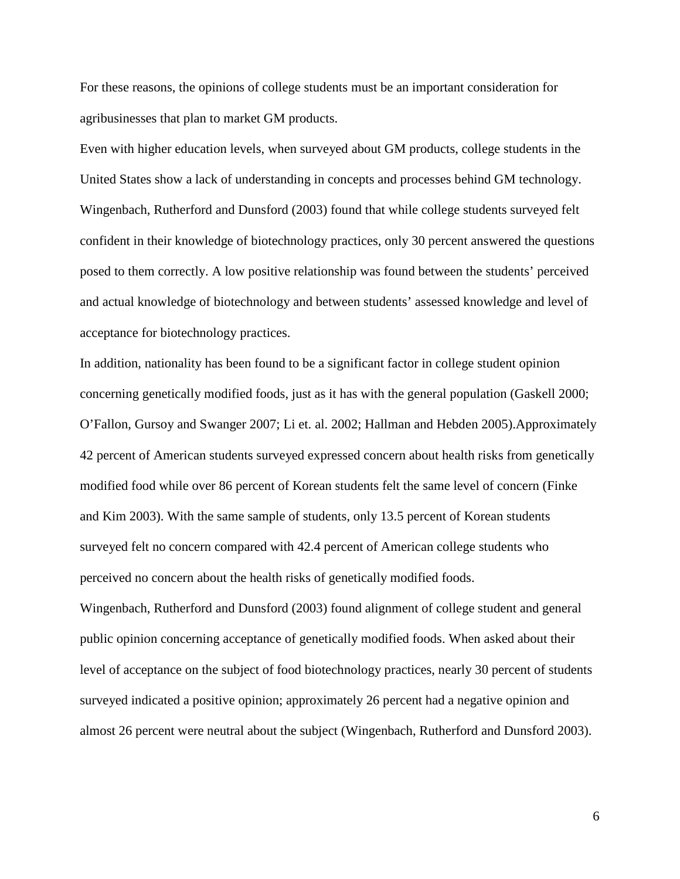For these reasons, the opinions of college students must be an important consideration for agribusinesses that plan to market GM products.

Even with higher education levels, when surveyed about GM products, college students in the United States show a lack of understanding in concepts and processes behind GM technology. Wingenbach, Rutherford and Dunsford (2003) found that while college students surveyed felt confident in their knowledge of biotechnology practices, only 30 percent answered the questions posed to them correctly. A low positive relationship was found between the students' perceived and actual knowledge of biotechnology and between students' assessed knowledge and level of acceptance for biotechnology practices.

In addition, nationality has been found to be a significant factor in college student opinion concerning genetically modified foods, just as it has with the general population (Gaskell 2000; O'Fallon, Gursoy and Swanger 2007; Li et. al. 2002; Hallman and Hebden 2005).Approximately 42 percent of American students surveyed expressed concern about health risks from genetically modified food while over 86 percent of Korean students felt the same level of concern (Finke and Kim 2003). With the same sample of students, only 13.5 percent of Korean students surveyed felt no concern compared with 42.4 percent of American college students who perceived no concern about the health risks of genetically modified foods.

Wingenbach, Rutherford and Dunsford (2003) found alignment of college student and general public opinion concerning acceptance of genetically modified foods. When asked about their level of acceptance on the subject of food biotechnology practices, nearly 30 percent of students surveyed indicated a positive opinion; approximately 26 percent had a negative opinion and almost 26 percent were neutral about the subject (Wingenbach, Rutherford and Dunsford 2003).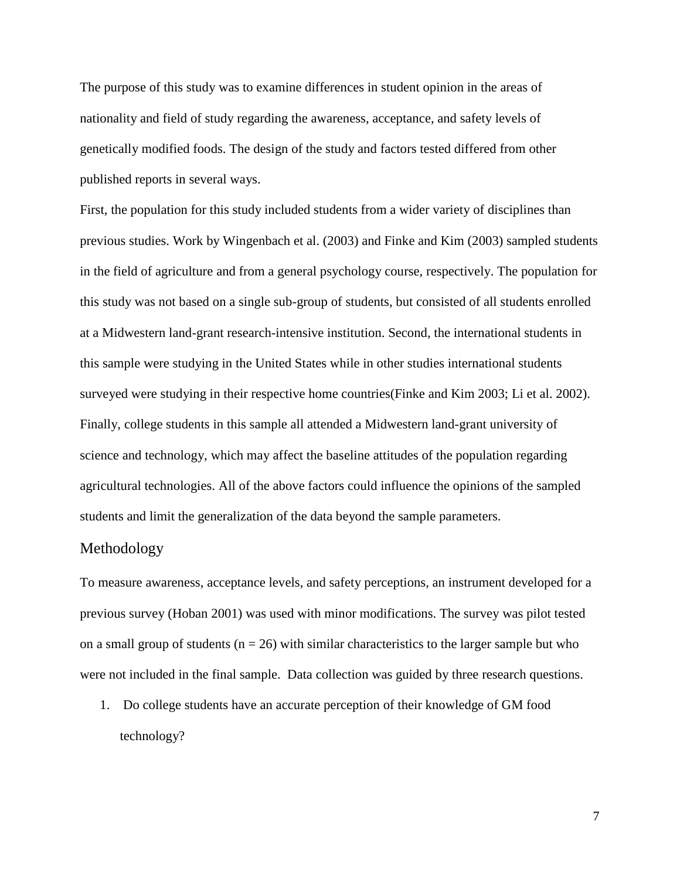The purpose of this study was to examine differences in student opinion in the areas of nationality and field of study regarding the awareness, acceptance, and safety levels of genetically modified foods. The design of the study and factors tested differed from other published reports in several ways.

First, the population for this study included students from a wider variety of disciplines than previous studies. Work by Wingenbach et al. (2003) and Finke and Kim (2003) sampled students in the field of agriculture and from a general psychology course, respectively. The population for this study was not based on a single sub-group of students, but consisted of all students enrolled at a Midwestern land-grant research-intensive institution. Second, the international students in this sample were studying in the United States while in other studies international students surveyed were studying in their respective home countries(Finke and Kim 2003; Li et al. 2002). Finally, college students in this sample all attended a Midwestern land-grant university of science and technology, which may affect the baseline attitudes of the population regarding agricultural technologies. All of the above factors could influence the opinions of the sampled students and limit the generalization of the data beyond the sample parameters.

## Methodology

To measure awareness, acceptance levels, and safety perceptions, an instrument developed for a previous survey (Hoban 2001) was used with minor modifications. The survey was pilot tested on a small group of students ( $n = 26$ ) with similar characteristics to the larger sample but who were not included in the final sample. Data collection was guided by three research questions.

1. Do college students have an accurate perception of their knowledge of GM food technology?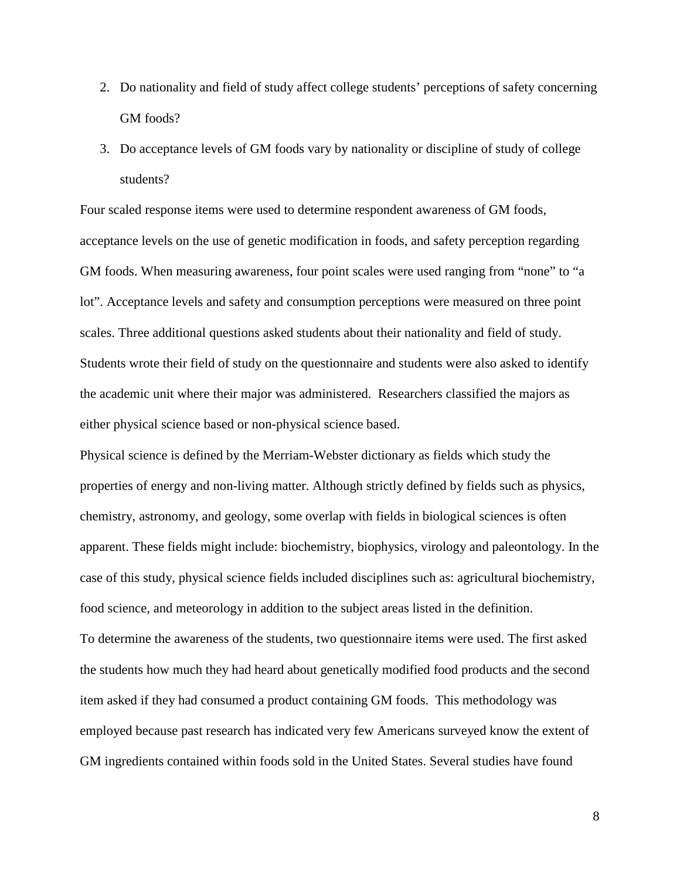- 2. Do nationality and field of study affect college students' perceptions of safety concerning GM foods?
- 3. Do acceptance levels of GM foods vary by nationality or discipline of study of college students?

Four scaled response items were used to determine respondent awareness of GM foods, acceptance levels on the use of genetic modification in foods, and safety perception regarding GM foods. When measuring awareness, four point scales were used ranging from "none" to "a lot". Acceptance levels and safety and consumption perceptions were measured on three point scales. Three additional questions asked students about their nationality and field of study. Students wrote their field of study on the questionnaire and students were also asked to identify the academic unit where their major was administered. Researchers classified the majors as either physical science based or non-physical science based.

Physical science is defined by the Merriam-Webster dictionary as fields which study the properties of energy and non-living matter. Although strictly defined by fields such as physics, chemistry, astronomy, and geology, some overlap with fields in biological sciences is often apparent. These fields might include: biochemistry, biophysics, virology and paleontology. In the case of this study, physical science fields included disciplines such as: agricultural biochemistry, food science, and meteorology in addition to the subject areas listed in the definition. To determine the awareness of the students, two questionnaire items were used. The first asked the students how much they had heard about genetically modified food products and the second

item asked if they had consumed a product containing GM foods. This methodology was employed because past research has indicated very few Americans surveyed know the extent of GM ingredients contained within foods sold in the United States. Several studies have found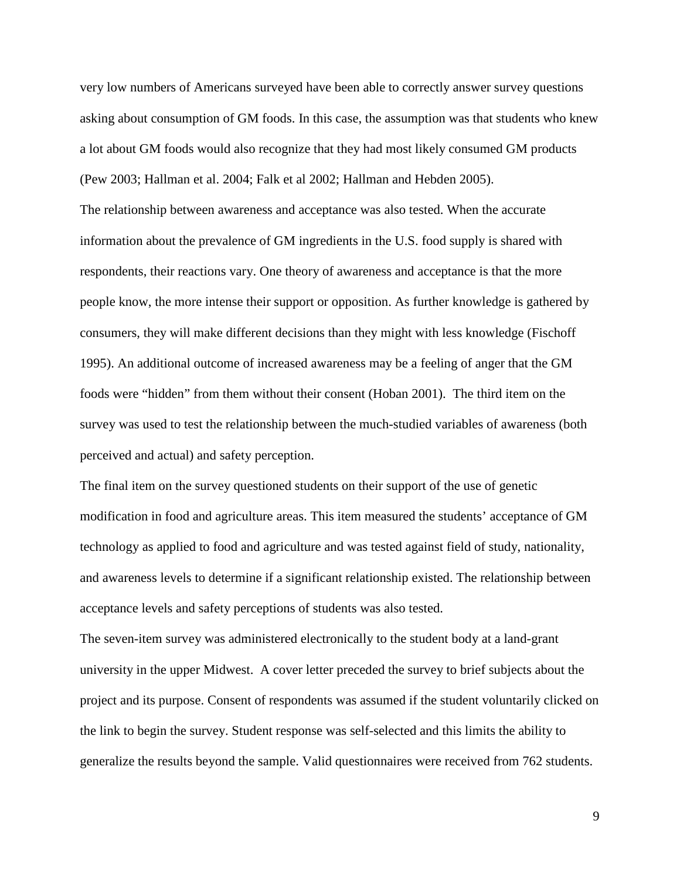very low numbers of Americans surveyed have been able to correctly answer survey questions asking about consumption of GM foods. In this case, the assumption was that students who knew a lot about GM foods would also recognize that they had most likely consumed GM products (Pew 2003; Hallman et al. 2004; Falk et al 2002; Hallman and Hebden 2005). The relationship between awareness and acceptance was also tested. When the accurate information about the prevalence of GM ingredients in the U.S. food supply is shared with respondents, their reactions vary. One theory of awareness and acceptance is that the more people know, the more intense their support or opposition. As further knowledge is gathered by consumers, they will make different decisions than they might with less knowledge (Fischoff 1995). An additional outcome of increased awareness may be a feeling of anger that the GM foods were "hidden" from them without their consent (Hoban 2001). The third item on the survey was used to test the relationship between the much-studied variables of awareness (both perceived and actual) and safety perception.

The final item on the survey questioned students on their support of the use of genetic modification in food and agriculture areas. This item measured the students' acceptance of GM technology as applied to food and agriculture and was tested against field of study, nationality, and awareness levels to determine if a significant relationship existed. The relationship between acceptance levels and safety perceptions of students was also tested.

The seven-item survey was administered electronically to the student body at a land-grant university in the upper Midwest. A cover letter preceded the survey to brief subjects about the project and its purpose. Consent of respondents was assumed if the student voluntarily clicked on the link to begin the survey. Student response was self-selected and this limits the ability to generalize the results beyond the sample. Valid questionnaires were received from 762 students.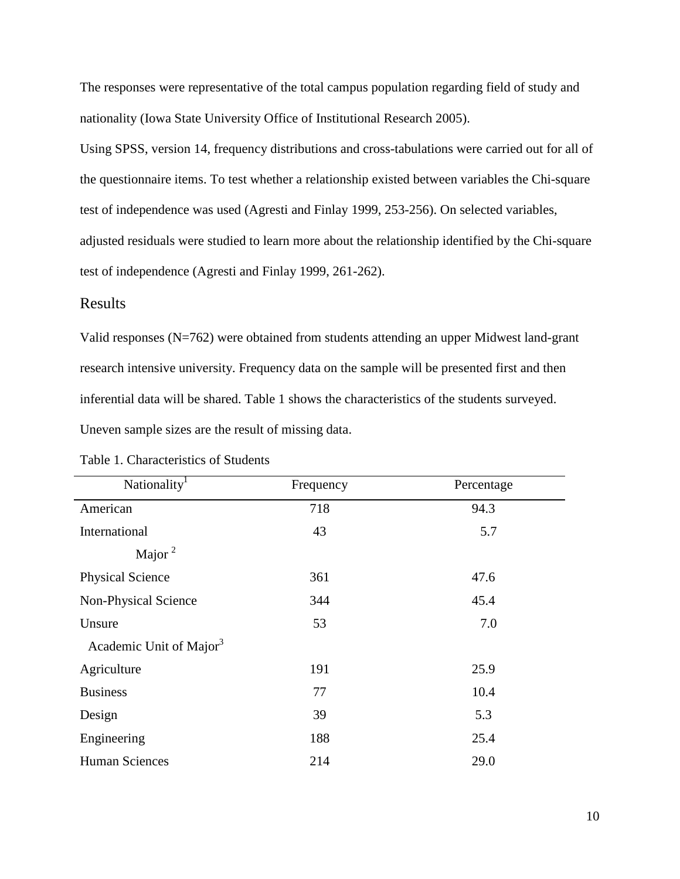The responses were representative of the total campus population regarding field of study and nationality (Iowa State University Office of Institutional Research 2005).

Using SPSS, version 14, frequency distributions and cross-tabulations were carried out for all of the questionnaire items. To test whether a relationship existed between variables the Chi-square test of independence was used (Agresti and Finlay 1999, 253-256). On selected variables, adjusted residuals were studied to learn more about the relationship identified by the Chi-square test of independence (Agresti and Finlay 1999, 261-262).

## Results

Valid responses (N=762) were obtained from students attending an upper Midwest land-grant research intensive university. Frequency data on the sample will be presented first and then inferential data will be shared. Table 1 shows the characteristics of the students surveyed. Uneven sample sizes are the result of missing data.

| Nationality <sup>1</sup>            | Frequency | Percentage |
|-------------------------------------|-----------|------------|
| American                            | 718       | 94.3       |
| International                       | 43        | 5.7        |
| Major $^2$                          |           |            |
| <b>Physical Science</b>             | 361       | 47.6       |
| Non-Physical Science                | 344       | 45.4       |
| Unsure                              | 53        | 7.0        |
| Academic Unit of Major <sup>3</sup> |           |            |
| Agriculture                         | 191       | 25.9       |
| <b>Business</b>                     | 77        | 10.4       |
| Design                              | 39        | 5.3        |
| Engineering                         | 188       | 25.4       |
| Human Sciences                      | 214       | 29.0       |

Table 1. Characteristics of Students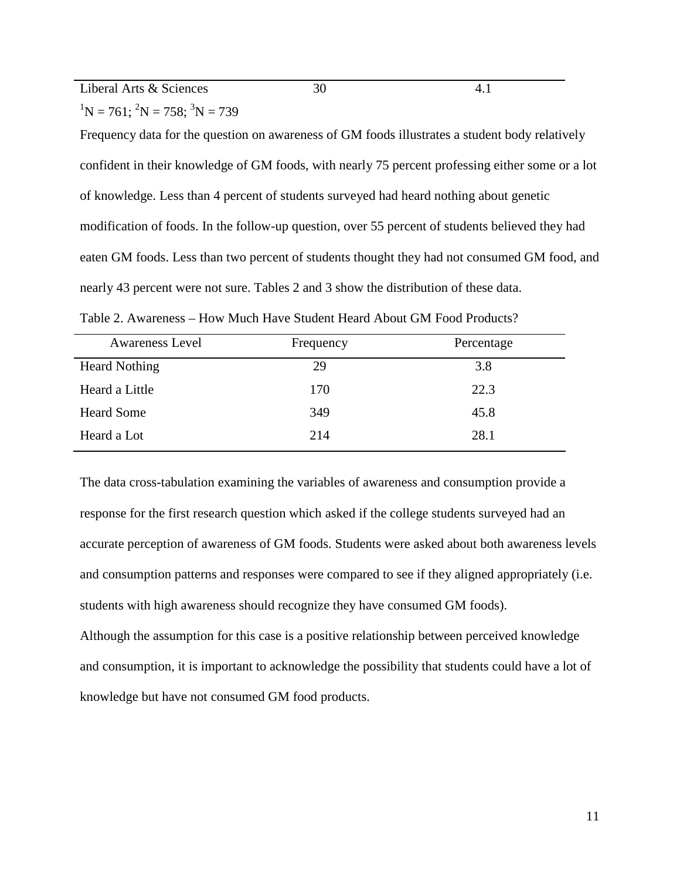Liberal Arts & Sciences 30 4.1

 ${}^{1}N = 761$ ;  ${}^{2}N = 758$ ;  ${}^{3}N = 739$ 

Frequency data for the question on awareness of GM foods illustrates a student body relatively confident in their knowledge of GM foods, with nearly 75 percent professing either some or a lot of knowledge. Less than 4 percent of students surveyed had heard nothing about genetic modification of foods. In the follow-up question, over 55 percent of students believed they had eaten GM foods. Less than two percent of students thought they had not consumed GM food, and nearly 43 percent were not sure. Tables 2 and 3 show the distribution of these data.

| <b>Awareness Level</b> | Frequency | Percentage |
|------------------------|-----------|------------|
| <b>Heard Nothing</b>   | 29        | 3.8        |
| Heard a Little         | 170       | 22.3       |
| <b>Heard Some</b>      | 349       | 45.8       |
| Heard a Lot            | 214       | 28.1       |

Table 2. Awareness – How Much Have Student Heard About GM Food Products?

The data cross-tabulation examining the variables of awareness and consumption provide a response for the first research question which asked if the college students surveyed had an accurate perception of awareness of GM foods. Students were asked about both awareness levels and consumption patterns and responses were compared to see if they aligned appropriately (i.e. students with high awareness should recognize they have consumed GM foods).

Although the assumption for this case is a positive relationship between perceived knowledge and consumption, it is important to acknowledge the possibility that students could have a lot of knowledge but have not consumed GM food products.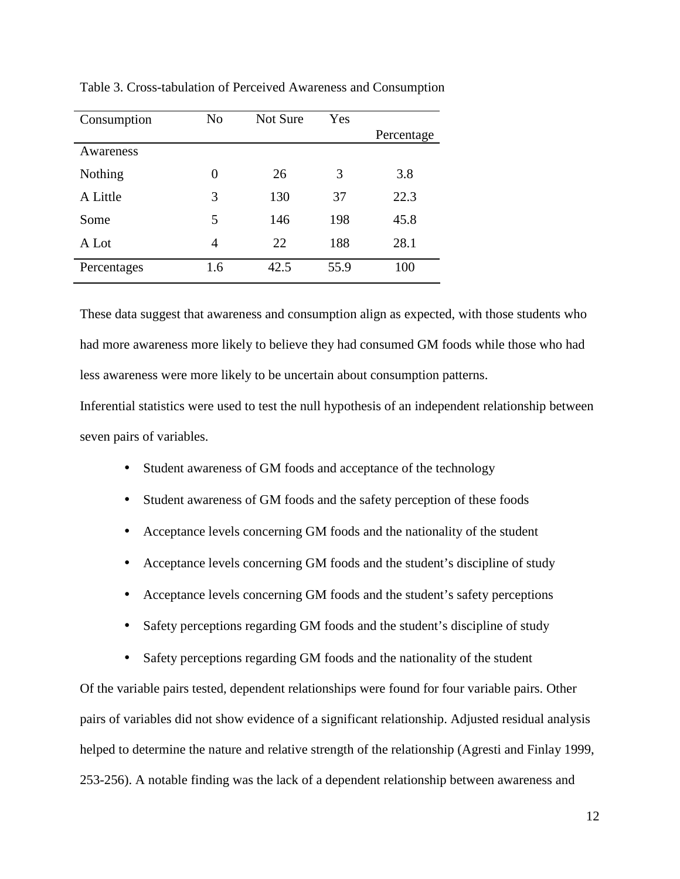| Consumption | N <sub>o</sub> | Not Sure | Yes  |            |
|-------------|----------------|----------|------|------------|
|             |                |          |      | Percentage |
| Awareness   |                |          |      |            |
| Nothing     | 0              | 26       | 3    | 3.8        |
| A Little    | 3              | 130      | 37   | 22.3       |
| Some        | 5              | 146      | 198  | 45.8       |
| A Lot       | 4              | 22       | 188  | 28.1       |
| Percentages | 1.6            | 42.5     | 55.9 | 100        |

Table 3. Cross-tabulation of Perceived Awareness and Consumption

These data suggest that awareness and consumption align as expected, with those students who had more awareness more likely to believe they had consumed GM foods while those who had less awareness were more likely to be uncertain about consumption patterns.

Inferential statistics were used to test the null hypothesis of an independent relationship between seven pairs of variables.

- Student awareness of GM foods and acceptance of the technology
- Student awareness of GM foods and the safety perception of these foods
- Acceptance levels concerning GM foods and the nationality of the student
- Acceptance levels concerning GM foods and the student's discipline of study
- Acceptance levels concerning GM foods and the student's safety perceptions
- Safety perceptions regarding GM foods and the student's discipline of study
- Safety perceptions regarding GM foods and the nationality of the student

Of the variable pairs tested, dependent relationships were found for four variable pairs. Other pairs of variables did not show evidence of a significant relationship. Adjusted residual analysis helped to determine the nature and relative strength of the relationship (Agresti and Finlay 1999, 253-256). A notable finding was the lack of a dependent relationship between awareness and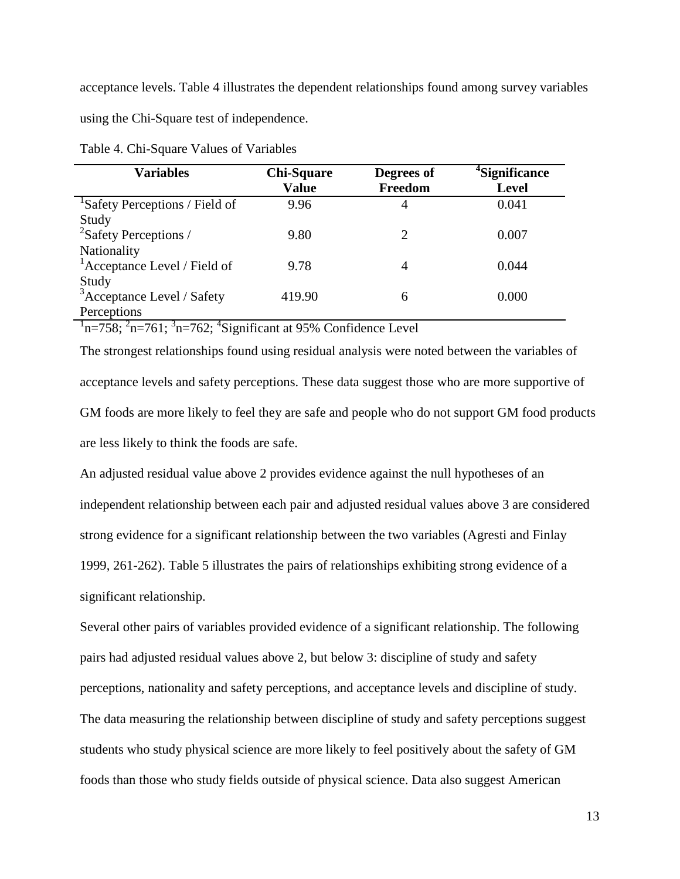acceptance levels. Table 4 illustrates the dependent relationships found among survey variables using the Chi-Square test of independence.

| <b>Variables</b>                           | <b>Chi-Square</b><br><b>Value</b> | Degrees of<br>Freedom | <sup>4</sup> Significance<br><b>Level</b> |
|--------------------------------------------|-----------------------------------|-----------------------|-------------------------------------------|
| <sup>1</sup> Safety Perceptions / Field of | 9.96                              | 4                     | 0.041                                     |
| Study                                      |                                   |                       |                                           |
| <sup>2</sup> Safety Perceptions /          | 9.80                              | 2                     | 0.007                                     |
| Nationality                                |                                   |                       |                                           |
| <sup>1</sup> Acceptance Level / Field of   | 9.78                              | 4                     | 0.044                                     |
| Study                                      |                                   |                       |                                           |
| <sup>3</sup> Acceptance Level / Safety     | 419.90                            | 6                     | 0.000                                     |
| Perceptions                                |                                   |                       |                                           |

Table 4. Chi-Square Values of Variables

 $n=758$ ;  $2n=761$ ;  $3n=762$ ;  $4$ Significant at 95% Confidence Level

The strongest relationships found using residual analysis were noted between the variables of acceptance levels and safety perceptions. These data suggest those who are more supportive of GM foods are more likely to feel they are safe and people who do not support GM food products are less likely to think the foods are safe.

An adjusted residual value above 2 provides evidence against the null hypotheses of an independent relationship between each pair and adjusted residual values above 3 are considered strong evidence for a significant relationship between the two variables (Agresti and Finlay 1999, 261-262). Table 5 illustrates the pairs of relationships exhibiting strong evidence of a significant relationship.

Several other pairs of variables provided evidence of a significant relationship. The following pairs had adjusted residual values above 2, but below 3: discipline of study and safety perceptions, nationality and safety perceptions, and acceptance levels and discipline of study. The data measuring the relationship between discipline of study and safety perceptions suggest students who study physical science are more likely to feel positively about the safety of GM foods than those who study fields outside of physical science. Data also suggest American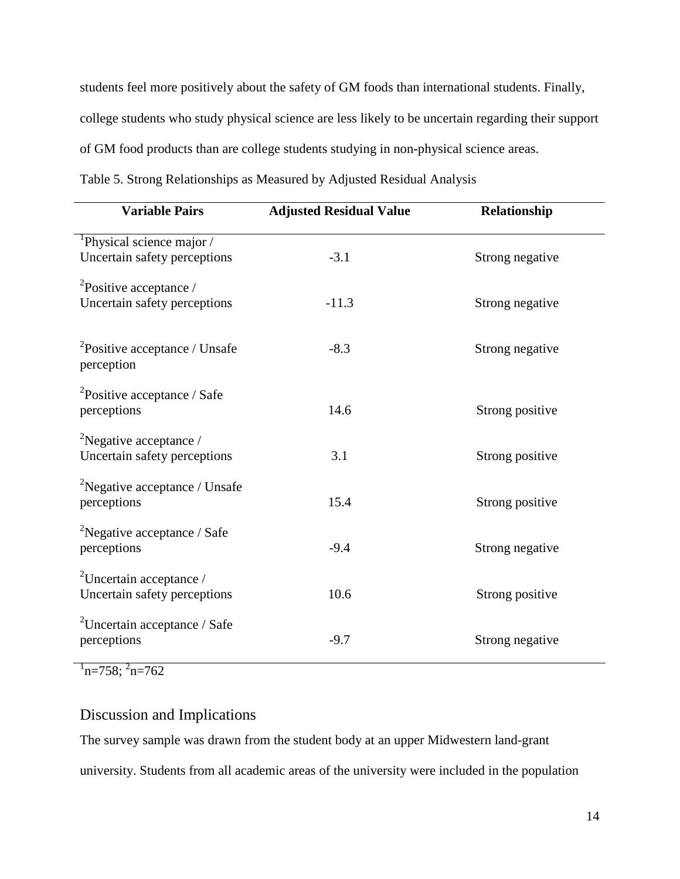students feel more positively about the safety of GM foods than international students. Finally, college students who study physical science are less likely to be uncertain regarding their support of GM food products than are college students studying in non-physical science areas. Table 5. Strong Relationships as Measured by Adjusted Residual Analysis

| <b>Variable Pairs</b>                                                     | <b>Adjusted Residual Value</b> | Relationship    |
|---------------------------------------------------------------------------|--------------------------------|-----------------|
| <sup>1</sup> Physical science major /<br>Uncertain safety perceptions     | $-3.1$                         | Strong negative |
| ${}^{2}$ Positive acceptance /<br>Uncertain safety perceptions            | $-11.3$                        | Strong negative |
| ${}^{2}$ Positive acceptance / Unsafe<br>perception                       | $-8.3$                         | Strong negative |
| <sup>2</sup> Positive acceptance / Safe<br>perceptions                    | 14.6                           | Strong positive |
| <sup>2</sup> Negative acceptance /<br>Uncertain safety perceptions        | 3.1                            | Strong positive |
| <sup>2</sup> Negative acceptance / Unsafe<br>perceptions                  | 15.4                           | Strong positive |
| <sup>2</sup> Negative acceptance / Safe<br>perceptions                    | $-9.4$                         | Strong negative |
| $\mu$ <sup>2</sup> Uncertain acceptance /<br>Uncertain safety perceptions | 10.6                           | Strong positive |
| <sup>2</sup> Uncertain acceptance / Safe<br>perceptions                   | $-9.7$                         | Strong negative |

 $n=758$ ;  $n=762$ 

# Discussion and Implications

The survey sample was drawn from the student body at an upper Midwestern land-grant university. Students from all academic areas of the university were included in the population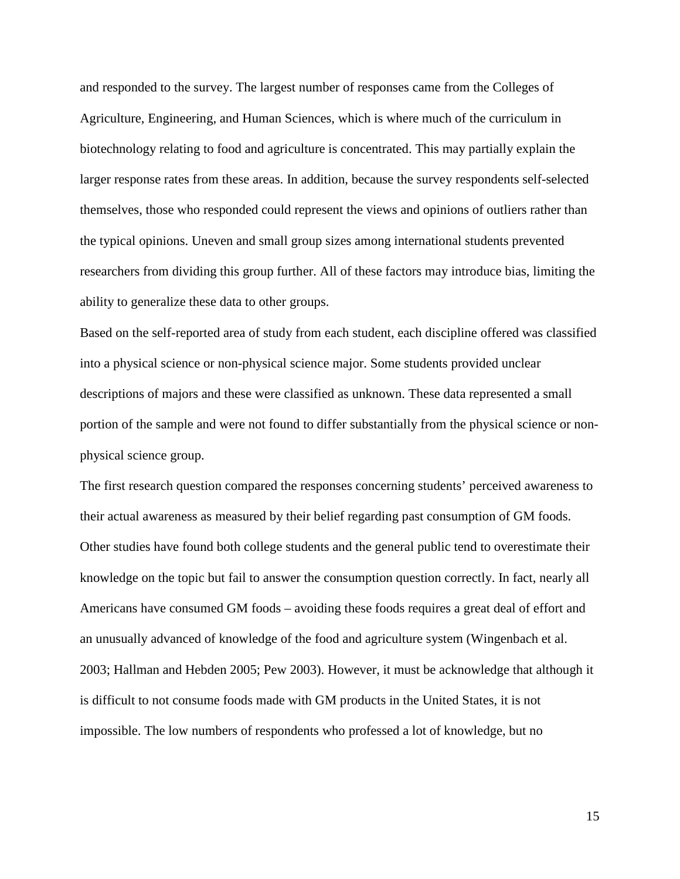and responded to the survey. The largest number of responses came from the Colleges of Agriculture, Engineering, and Human Sciences, which is where much of the curriculum in biotechnology relating to food and agriculture is concentrated. This may partially explain the larger response rates from these areas. In addition, because the survey respondents self-selected themselves, those who responded could represent the views and opinions of outliers rather than the typical opinions. Uneven and small group sizes among international students prevented researchers from dividing this group further. All of these factors may introduce bias, limiting the ability to generalize these data to other groups.

Based on the self-reported area of study from each student, each discipline offered was classified into a physical science or non-physical science major. Some students provided unclear descriptions of majors and these were classified as unknown. These data represented a small portion of the sample and were not found to differ substantially from the physical science or nonphysical science group.

The first research question compared the responses concerning students' perceived awareness to their actual awareness as measured by their belief regarding past consumption of GM foods. Other studies have found both college students and the general public tend to overestimate their knowledge on the topic but fail to answer the consumption question correctly. In fact, nearly all Americans have consumed GM foods – avoiding these foods requires a great deal of effort and an unusually advanced of knowledge of the food and agriculture system (Wingenbach et al. 2003; Hallman and Hebden 2005; Pew 2003). However, it must be acknowledge that although it is difficult to not consume foods made with GM products in the United States, it is not impossible. The low numbers of respondents who professed a lot of knowledge, but no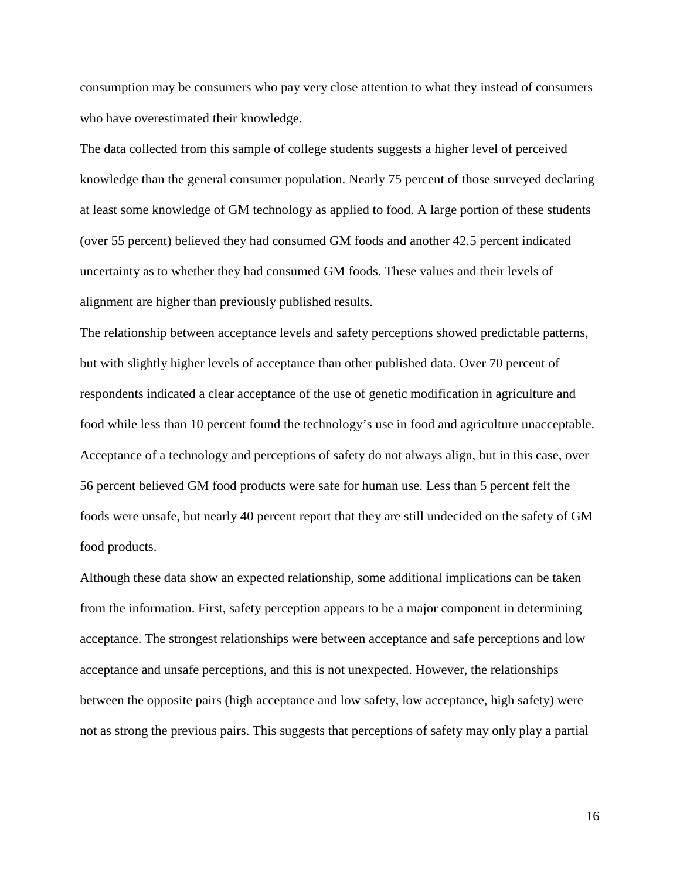consumption may be consumers who pay very close attention to what they instead of consumers who have overestimated their knowledge.

The data collected from this sample of college students suggests a higher level of perceived knowledge than the general consumer population. Nearly 75 percent of those surveyed declaring at least some knowledge of GM technology as applied to food. A large portion of these students (over 55 percent) believed they had consumed GM foods and another 42.5 percent indicated uncertainty as to whether they had consumed GM foods. These values and their levels of alignment are higher than previously published results.

The relationship between acceptance levels and safety perceptions showed predictable patterns, but with slightly higher levels of acceptance than other published data. Over 70 percent of respondents indicated a clear acceptance of the use of genetic modification in agriculture and food while less than 10 percent found the technology's use in food and agriculture unacceptable. Acceptance of a technology and perceptions of safety do not always align, but in this case, over 56 percent believed GM food products were safe for human use. Less than 5 percent felt the foods were unsafe, but nearly 40 percent report that they are still undecided on the safety of GM food products.

Although these data show an expected relationship, some additional implications can be taken from the information. First, safety perception appears to be a major component in determining acceptance. The strongest relationships were between acceptance and safe perceptions and low acceptance and unsafe perceptions, and this is not unexpected. However, the relationships between the opposite pairs (high acceptance and low safety, low acceptance, high safety) were not as strong the previous pairs. This suggests that perceptions of safety may only play a partial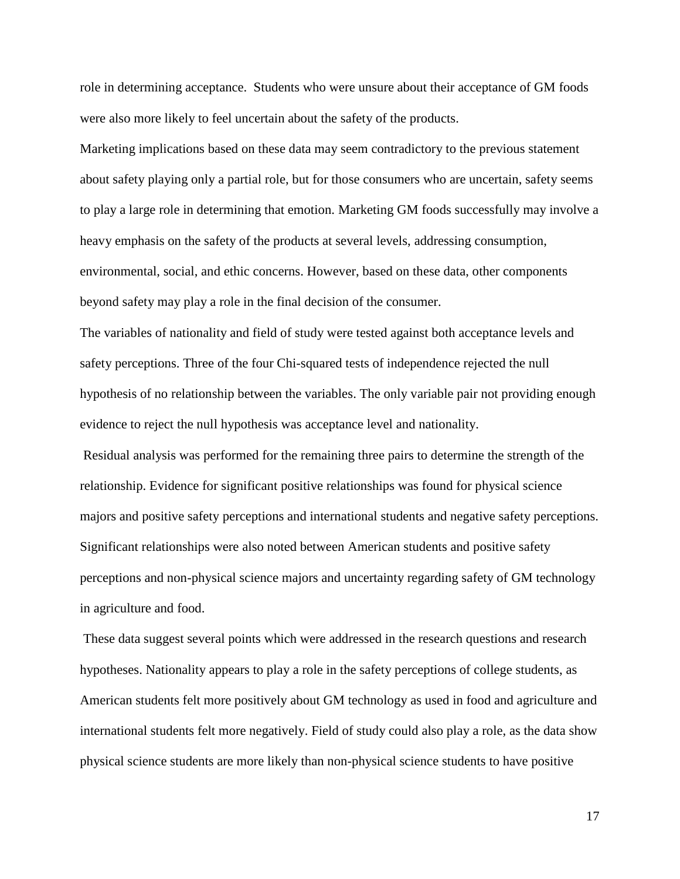role in determining acceptance. Students who were unsure about their acceptance of GM foods were also more likely to feel uncertain about the safety of the products.

Marketing implications based on these data may seem contradictory to the previous statement about safety playing only a partial role, but for those consumers who are uncertain, safety seems to play a large role in determining that emotion. Marketing GM foods successfully may involve a heavy emphasis on the safety of the products at several levels, addressing consumption, environmental, social, and ethic concerns. However, based on these data, other components beyond safety may play a role in the final decision of the consumer.

The variables of nationality and field of study were tested against both acceptance levels and safety perceptions. Three of the four Chi-squared tests of independence rejected the null hypothesis of no relationship between the variables. The only variable pair not providing enough evidence to reject the null hypothesis was acceptance level and nationality.

 Residual analysis was performed for the remaining three pairs to determine the strength of the relationship. Evidence for significant positive relationships was found for physical science majors and positive safety perceptions and international students and negative safety perceptions. Significant relationships were also noted between American students and positive safety perceptions and non-physical science majors and uncertainty regarding safety of GM technology in agriculture and food.

 These data suggest several points which were addressed in the research questions and research hypotheses. Nationality appears to play a role in the safety perceptions of college students, as American students felt more positively about GM technology as used in food and agriculture and international students felt more negatively. Field of study could also play a role, as the data show physical science students are more likely than non-physical science students to have positive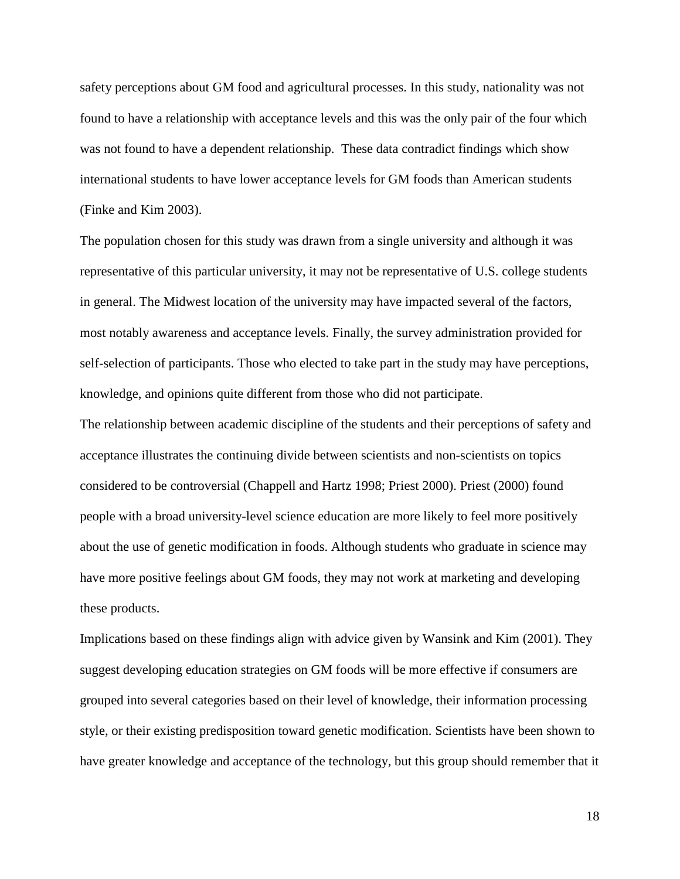safety perceptions about GM food and agricultural processes. In this study, nationality was not found to have a relationship with acceptance levels and this was the only pair of the four which was not found to have a dependent relationship. These data contradict findings which show international students to have lower acceptance levels for GM foods than American students (Finke and Kim 2003).

The population chosen for this study was drawn from a single university and although it was representative of this particular university, it may not be representative of U.S. college students in general. The Midwest location of the university may have impacted several of the factors, most notably awareness and acceptance levels. Finally, the survey administration provided for self-selection of participants. Those who elected to take part in the study may have perceptions, knowledge, and opinions quite different from those who did not participate.

The relationship between academic discipline of the students and their perceptions of safety and acceptance illustrates the continuing divide between scientists and non-scientists on topics considered to be controversial (Chappell and Hartz 1998; Priest 2000). Priest (2000) found people with a broad university-level science education are more likely to feel more positively about the use of genetic modification in foods. Although students who graduate in science may have more positive feelings about GM foods, they may not work at marketing and developing these products.

Implications based on these findings align with advice given by Wansink and Kim (2001). They suggest developing education strategies on GM foods will be more effective if consumers are grouped into several categories based on their level of knowledge, their information processing style, or their existing predisposition toward genetic modification. Scientists have been shown to have greater knowledge and acceptance of the technology, but this group should remember that it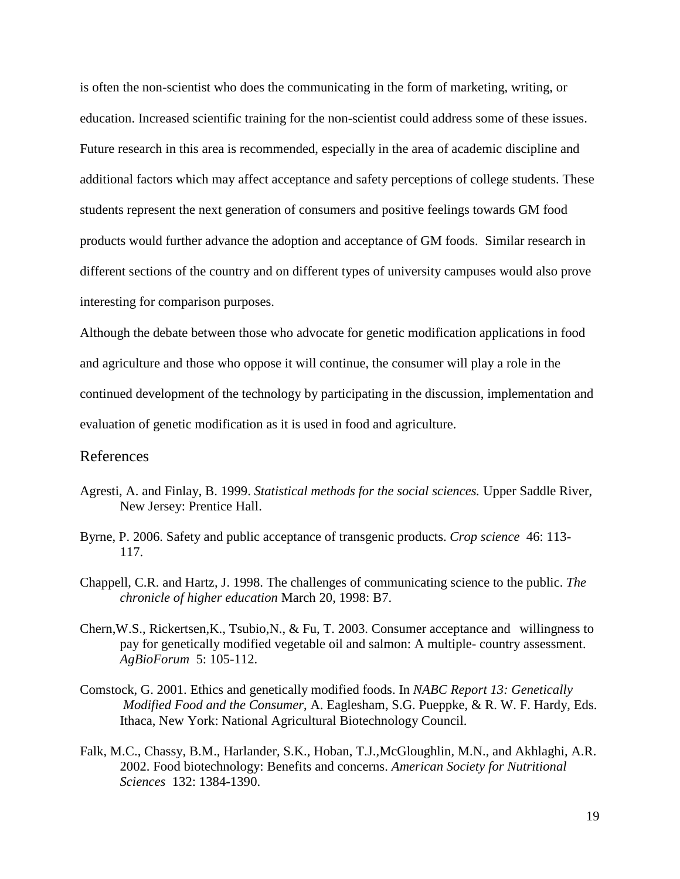is often the non-scientist who does the communicating in the form of marketing, writing, or education. Increased scientific training for the non-scientist could address some of these issues. Future research in this area is recommended, especially in the area of academic discipline and additional factors which may affect acceptance and safety perceptions of college students. These students represent the next generation of consumers and positive feelings towards GM food products would further advance the adoption and acceptance of GM foods. Similar research in different sections of the country and on different types of university campuses would also prove interesting for comparison purposes.

Although the debate between those who advocate for genetic modification applications in food and agriculture and those who oppose it will continue, the consumer will play a role in the continued development of the technology by participating in the discussion, implementation and evaluation of genetic modification as it is used in food and agriculture.

### References

- Agresti, A. and Finlay, B. 1999. *Statistical methods for the social sciences.* Upper Saddle River, New Jersey: Prentice Hall.
- Byrne, P. 2006. Safety and public acceptance of transgenic products. *Crop science* 46: 113- 117.
- Chappell, C.R. and Hartz, J. 1998. The challenges of communicating science to the public. *The chronicle of higher education* March 20, 1998: B7.
- Chern,W.S., Rickertsen,K., Tsubio,N., & Fu, T. 2003. Consumer acceptance and willingness to pay for genetically modified vegetable oil and salmon: A multiple- country assessment. *AgBioForum* 5: 105-112.
- Comstock, G. 2001. Ethics and genetically modified foods. In *NABC Report 13: Genetically Modified Food and the Consumer*, A. Eaglesham, S.G. Pueppke, & R. W. F. Hardy, Eds. Ithaca, New York: National Agricultural Biotechnology Council.
- Falk, M.C., Chassy, B.M., Harlander, S.K., Hoban, T.J.,McGloughlin, M.N., and Akhlaghi, A.R. 2002. Food biotechnology: Benefits and concerns. *American Society for Nutritional Sciences* 132: 1384-1390.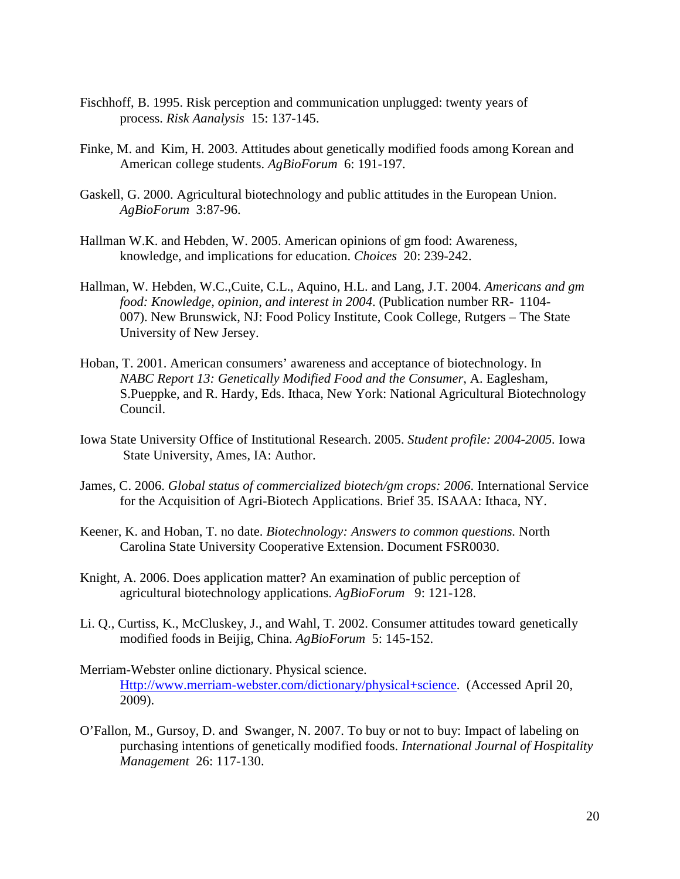- Fischhoff, B. 1995. Risk perception and communication unplugged: twenty years of process. *Risk Aanalysis* 15: 137-145.
- Finke, M. and Kim, H. 2003. Attitudes about genetically modified foods among Korean and American college students. *AgBioForum* 6: 191-197.
- Gaskell, G. 2000. Agricultural biotechnology and public attitudes in the European Union. *AgBioForum* 3:87-96.
- Hallman W.K. and Hebden, W. 2005. American opinions of gm food: Awareness, knowledge, and implications for education. *Choices* 20: 239-242.
- Hallman, W. Hebden, W.C.,Cuite, C.L., Aquino, H.L. and Lang, J.T. 2004. *Americans and gm food: Knowledge, opinion, and interest in 2004*. (Publication number RR- 1104- 007). New Brunswick, NJ: Food Policy Institute, Cook College, Rutgers – The State University of New Jersey.
- Hoban, T. 2001. American consumers' awareness and acceptance of biotechnology. In *NABC Report 13: Genetically Modified Food and the Consumer*, A. Eaglesham, S.Pueppke, and R. Hardy, Eds. Ithaca, New York: National Agricultural Biotechnology Council.
- Iowa State University Office of Institutional Research. 2005. *Student profile: 2004-2005.* Iowa State University, Ames, IA: Author.
- James, C. 2006. *Global status of commercialized biotech/gm crops: 2006*. International Service for the Acquisition of Agri-Biotech Applications. Brief 35. ISAAA: Ithaca, NY.
- Keener, K. and Hoban, T. no date. *Biotechnology: Answers to common questions.* North Carolina State University Cooperative Extension. Document FSR0030.
- Knight, A. 2006. Does application matter? An examination of public perception of agricultural biotechnology applications. *AgBioForum* 9: 121-128.
- Li. Q., Curtiss, K., McCluskey, J., and Wahl, T. 2002. Consumer attitudes toward genetically modified foods in Beijig, China. *AgBioForum* 5: 145-152.
- Merriam-Webster online dictionary. Physical science. Http://www.merriam-webster.com/dictionary/physical+science. (Accessed April 20, 2009).
- O'Fallon, M., Gursoy, D. and Swanger, N. 2007. To buy or not to buy: Impact of labeling on purchasing intentions of genetically modified foods. *International Journal of Hospitality Management* 26: 117-130.